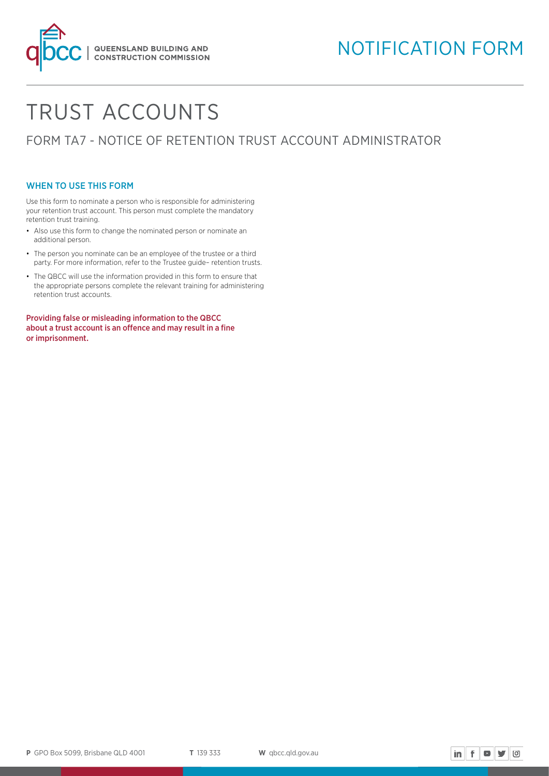

# TRUST ACCOUNTS

FORM TA7 - NOTICE OF RETENTION TRUST ACCOUNT ADMINISTRATOR

## WHEN TO USE THIS FORM

Use this form to nominate a person who is responsible for administering your retention trust account. This person must complete the mandatory retention trust training.

- Also use this form to change the nominated person or nominate an additional person.
- The person you nominate can be an employee of the trustee or a third party. For more information, refer to the Trustee guide– retention trusts.
- The QBCC will use the information provided in this form to ensure that the appropriate persons complete the relevant training for administering retention trust accounts.

Providing false or misleading information to the QBCC about a trust account is an offence and may result in a fine or imprisonment.

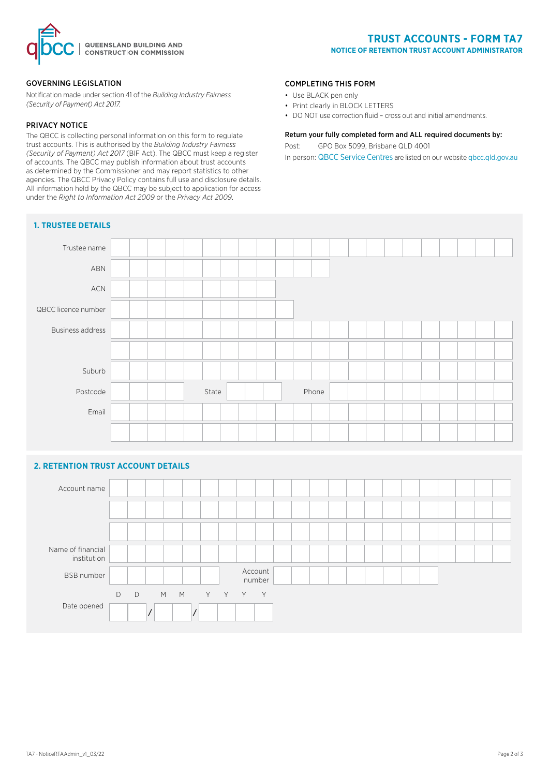

#### GOVERNING LEGISLATION

Notification made under section 41 of the *Building Industry Fairness (Security of Payment) Act 2017.*

#### PRIVACY NOTICE

The QBCC is collecting personal information on this form to regulate trust accounts. This is authorised by the *Building Industry Fairness (Security of Payment) Act 2017* (BIF Act). The QBCC must keep a register of accounts. The QBCC may publish information about trust accounts as determined by the Commissioner and may report statistics to other agencies. The QBCC Privacy Policy contains full use and disclosure details. All information held by the QBCC may be subject to application for access under the *Right to Information Act 2009* or the *Privacy Act 2009*.

## **1. TRUSTEE DETAILS**

#### COMPLETING THIS FORM

- Use BLACK pen only
- Print clearly in BLOCK LETTERS
- DO NOT use correction fluid cross out and initial amendments.

## Return your fully completed form and ALL required documents by:

Post: GPO Box 5099, Brisbane QLD 4001

In person: QBCC Service Centres are listed on our website [qbcc.qld.gov.au](http://qbcc.qld.gov.au )



## **2. RETENTION TRUST ACCOUNT DETAILS**